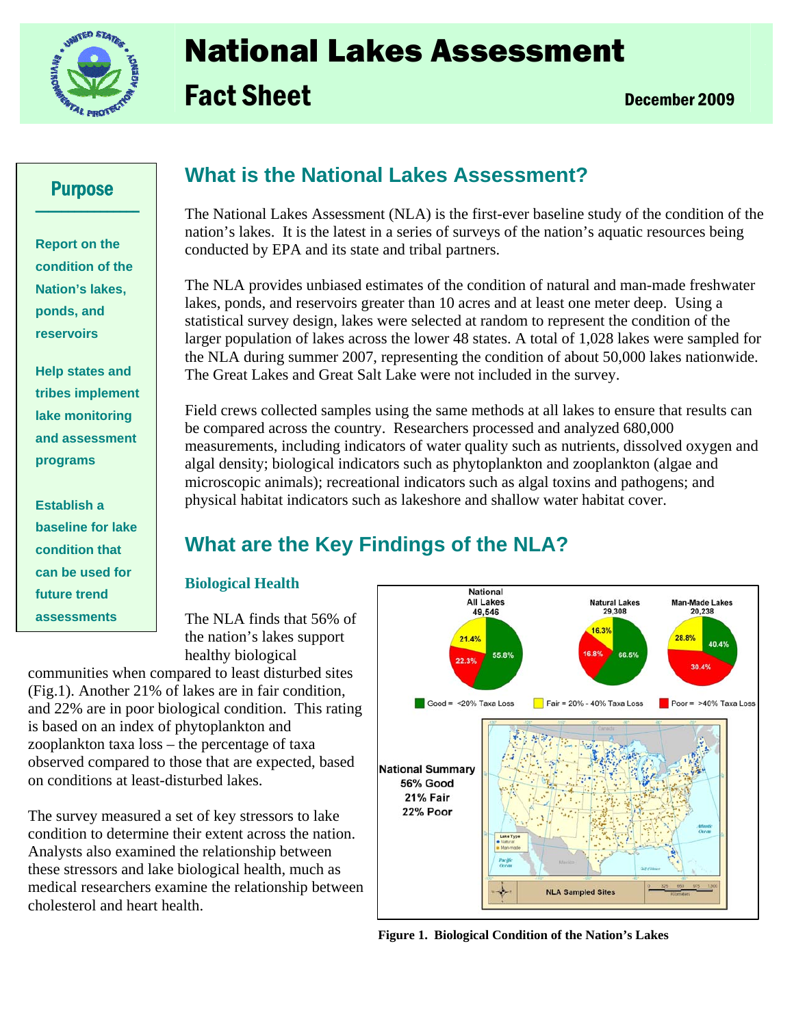

# National Lakes Assessment **Fact Sheet** December 2009

## **Purpose**

**Report on the condition of the Nation's lakes, ponds, and reservoirs** 

**Help states and tribes implement lake monitoring and assessment programs** 

**Establish a baseline for lake condition that can be used for future trend assessments** 

## **What is the National Lakes Assessment?**

The National Lakes Assessment (NLA) is the first-ever baseline study of the condition of the nation's lakes. It is the latest in a series of surveys of the nation's aquatic resources being conducted by EPA and its state and tribal partners.

The NLA provides unbiased estimates of the condition of natural and man-made freshwater lakes, ponds, and reservoirs greater than 10 acres and at least one meter deep. Using a statistical survey design, lakes were selected at random to represent the condition of the larger population of lakes across the lower 48 states. A total of 1,028 lakes were sampled for the NLA during summer 2007, representing the condition of about 50,000 lakes nationwide. The Great Lakes and Great Salt Lake were not included in the survey.

Field crews collected samples using the same methods at all lakes to ensure that results can be compared across the country. Researchers processed and analyzed 680,000 measurements, including indicators of water quality such as nutrients, dissolved oxygen and algal density; biological indicators such as phytoplankton and zooplankton (algae and microscopic animals); recreational indicators such as algal toxins and pathogens; and physical habitat indicators such as lakeshore and shallow water habitat cover.

## **What are the Key Findings of the NLA?**

### **Biological Health**

The NLA finds that 56% of the nation's lakes support healthy biological

communities when compared to least disturbed sites (Fig.1). Another 21% of lakes are in fair condition, and 22% are in poor biological condition. This rating is based on an index of phytoplankton and zooplankton taxa loss – the percentage of taxa observed compared to those that are expected, based on conditions at least-disturbed lakes.

The survey measured a set of key stressors to lake condition to determine their extent across the nation. Analysts also examined the relationship between these stressors and lake biological health, much as medical researchers examine the relationship between cholesterol and heart health.



**Figure 1. Biological Condition of the Nation's Lakes**